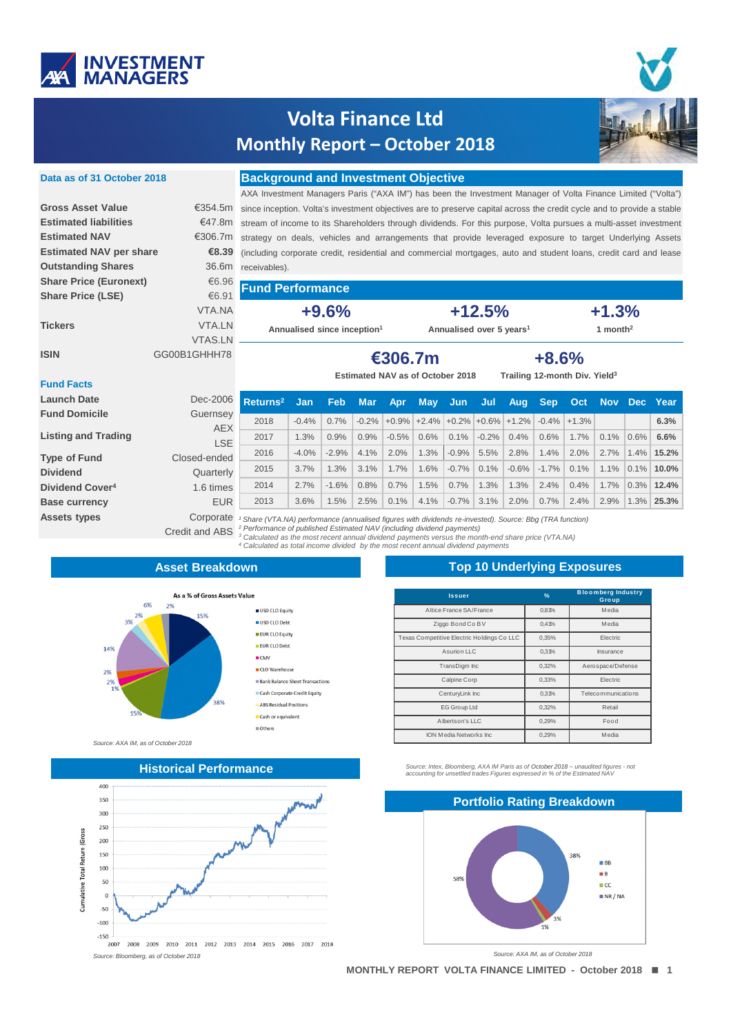

# **Volta Finance Ltd Monthly Report - October 2018**



## Data as of 31 October 2018

€6.96

### **Background and Investment Objective**

AXA Investment Managers Paris ("AXA IM") has been the Investment Manager of Volta Finance Limited ("Volta") €354.5m since inception. Volta's investment objectives are to preserve capital across the credit cycle and to provide a stable €47.8m stream of income to its Shareholders through dividends. For this purpose, Volta pursues a multi-asset investment €306.7m strategy on deals, vehicles and arrangements that provide leveraged exposure to target Underlying Assets €8.39 (including corporate credit, residential and commercial mortgages, auto and student loans, credit card and lease 36.6m (peldeviece)

#### €6.91 **Share Price (LSE)** VTA.NA **Tickers** VTA.LN **VTAS.LN** GG00B1GHHH78

 $+9.6%$ 

Annualised since inception<sup>1</sup>

**Fund Performance** 

 $+12.5%$ Annualised over 5 years<sup>1</sup>

 $+1.3%$ 1 month<sup>2</sup>

**ISIN** 

**Gross Asset Value** 

**Estimated liabilities** 

**Outstanding Shares** 

**Share Price (Euronext)** 

**Estimated NAV per share** 

**Estimated NAV** 

€306.7m Estimated NAV as of October 2018

 $+8.6%$ Trailing 12-month Div. Yield<sup>3</sup>

## **Fund Facts**

| <b>Launch Date</b>          | Dec-2006     | Returns <sup>2</sup>                                                                                                                                                                                              | Jan     | <b>Feb</b> | <b>Mar</b> | Apr     | <b>May</b>                                                  | - Jun   | Jul     | Aug     | <b>Sep</b> | <b>Oct</b> |      |         | Nov Dec Year |
|-----------------------------|--------------|-------------------------------------------------------------------------------------------------------------------------------------------------------------------------------------------------------------------|---------|------------|------------|---------|-------------------------------------------------------------|---------|---------|---------|------------|------------|------|---------|--------------|
| <b>Fund Domicile</b>        | Guernsey     |                                                                                                                                                                                                                   |         |            |            |         | $-0.2\%$ + 0.9% + 2.4% + 0.2% + 0.6% + 1.2% $-0.4\%$ + 1.3% |         |         |         |            |            |      |         |              |
|                             | <b>AEX</b>   | 2018                                                                                                                                                                                                              | $-0.4%$ | 0.7%       |            |         |                                                             |         |         |         |            |            |      |         | 6.3%         |
| <b>Listing and Trading</b>  | <b>LSE</b>   | 2017                                                                                                                                                                                                              | 1.3%    | 0.9%       | 0.9%       | $-0.5%$ | 0.6%                                                        | 0.1%    | $-0.2%$ | 0.4%    | 0.6%       | 1.7%       | 0.1% | $0.6\%$ | 6.6%         |
| <b>Type of Fund</b>         | Closed-ended | 2016                                                                                                                                                                                                              | $-4.0%$ | $-2.9%$    | 4.1%       | 2.0%    | 1.3%                                                        | $-0.9%$ | 5.5%    | 2.8%    | 1.4%       | 2.0%       | 2.7% | $1.4\%$ | 15.2%        |
| <b>Dividend</b>             | Quarterly    | 2015                                                                                                                                                                                                              | 3.7%    | 1.3%       | 3.1%       | 1.7%    | 1.6%                                                        | $-0.7%$ | 0.1%    | $-0.6%$ | $-1.7\%$   | 0.1%       | 1.1% | $0.1\%$ | $10.0\%$     |
| Dividend Cover <sup>4</sup> | 1.6 times    | 2014                                                                                                                                                                                                              | 2.7%    | $-1.6%$    | 0.8%       | 0.7%    | 1.5%                                                        | 0.7%    | .3%     | 1.3%    | 2.4%       | 0.4%       | 1.7% | $0.3\%$ | 12.4%        |
| <b>Base currency</b>        | <b>EUR</b>   | 2013                                                                                                                                                                                                              | 3.6%    | 1.5%       | 2.5%       | 0.1%    | 4.1%                                                        | $-0.7%$ | 3.1%    | 2.0%    | 0.7%       | 2.4%       | 2.9% | 1.3%    | 25.3%        |
| <b>Assets types</b>         | Corporate    | Share (VTA.NA) performance (annualised figures with dividends re-invested). Source: Bbg (TRA function)                                                                                                            |         |            |            |         |                                                             |         |         |         |            |            |      |         |              |
|                             |              | Credit and ABS <sup>2</sup> Performance of published Estimated NAV (including dividend payments)<br>3. Coloridated as the meast reason and in deviational permanente response the meanth and characters. (UTA NA) |         |            |            |         |                                                             |         |         |         |            |            |      |         |              |

payr 4 Calculated as total income divided by the most recent annual dividend payments

### **Asset Breakdown**



Source: AXA IM, as of October 2018

### **Historical Performance**



## **Top 10 Underlying Exposures**

| <b>Issuer</b>                              | $\frac{9}{6}$ | <b>Bloomberg Industry</b><br>Group |
|--------------------------------------------|---------------|------------------------------------|
| Altice France SA/France                    | 0,81%         | Media                              |
| Ziggo Bond Co BV                           | 0,41%         | Media                              |
| Texas Competitive Electric Holdings Co LLC | 0.35%         | <b>Electric</b>                    |
| Asurion LLC                                | 0,31%         | Insurance                          |
| TransDigm Inc                              | 0.32%         | Aerospace/Defense                  |
| Calpine Corp                               | 0,33%         | <b>Electric</b>                    |
| CenturyLink Inc                            | 0.31%         | Telecommunications                 |
| <b>EG Group Ltd</b>                        | 0,32%         | Retail                             |
| Albertson's LLC                            | 0,29%         | Food                               |
| ION Media Networks Inc.                    | 0.29%         | Media                              |

Source: Intex, Bloomberg, AXA IM Paris as of October 2018 - unaudited figures - not<br>accounting for unsettled trades Figures expressed in % of the Estimated NAV



Source: AXA IM, as of October 2018

MONTHLY REPORT VOLTA FINANCE LIMITED - October 2018 | 1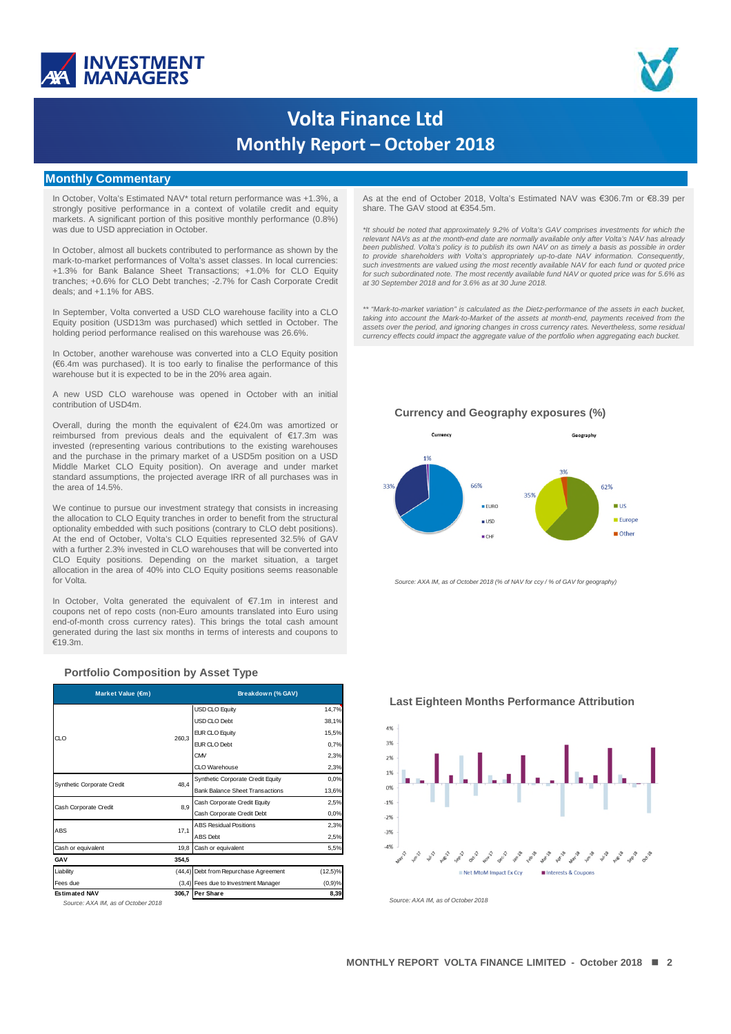



# **Volta Finance Ltd Monthly Report - October 2018**

### **Monthly Commentary**

In October, Volta's Estimated NAV\* total return performance was +1.3%, a strongly positive performance in a context of volatile credit and equity markets. A significant portion of this positive monthly performance (0.8%) was due to USD appreciation in October.

In October, almost all buckets contributed to performance as shown by the mark-to-market performances of Volta's asset classes. In local currencies: +1.3% for Bank Balance Sheet Transactions; +1.0% for CLO Equity tranches; +0.6% for CLO Debt tranches; -2.7% for Cash Corporate Credit deals: and +1.1% for ABS.

In September, Volta converted a USD CLO warehouse facility into a CLO Equity position (USD13m was purchased) which settled in October. The holding period performance realised on this warehouse was 26.6%.

In October, another warehouse was converted into a CLO Equity position  $(\text{\ensuremath{\in}} 6.4\text{m}$  was purchased). It is too early to finalise the performance of this warehouse but it is expected to be in the 20% area again.

A new USD CLO warehouse was opened in October with an initial contribution of USD4m.

Overall, during the month the equivalent of €24.0m was amortized or reimbursed from previous deals and the equivalent of €17.3m was invested (representing various contributions to the existing warehouses and the purchase in the primary market of a USD5m position on a USD Middle Market CLO Equity position). On average and under market standard assumptions, the projected average IRR of all purchases was in the area of 14.5%

We continue to pursue our investment strategy that consists in increasing the allocation to CLO Equity tranches in order to benefit from the structural optionality embedded with such positions (contrary to CLO debt positions). At the end of October, Volta's CLO Equities represented 32.5% of GAV with a further 2.3% invested in CLO warehouses that will be converted into CLO Equity positions. Depending on the market situation, a target allocation in the area of 40% into CLO Equity positions seems reasonable for Volta

In October, Volta generated the equivalent of €7.1m in interest and coupons net of repo costs (non-Euro amounts translated into Euro using end-of-month cross currency rates). This brings the total cash amount generated during the last six months in terms of interests and coupons to  $f$  19 3m

#### **Portfolio Composition by Asset Type**

| Market Value (€m)          | Breakdown (% GAV)                                                                                                                                                                          |            |
|----------------------------|--------------------------------------------------------------------------------------------------------------------------------------------------------------------------------------------|------------|
|                            | <b>USD CLO Equity</b>                                                                                                                                                                      | 14,7%      |
|                            | USD CLO Debt                                                                                                                                                                               | 38,1%      |
| CL O                       | <b>EUR CLO Equity</b>                                                                                                                                                                      | 15,5%      |
|                            | <b>EUR CLO Debt</b>                                                                                                                                                                        | 0.7%       |
|                            | CMV                                                                                                                                                                                        | 2,3%       |
|                            | CLO Warehouse                                                                                                                                                                              | 2,3%       |
|                            | Synthetic Corporate Credit Equity                                                                                                                                                          | 0.0%       |
| Synthetic Corporate Credit | <b>Bank Balance Sheet Transactions</b><br>Cash Corporate Credit Equity<br>Cash Corporate Credit Debt                                                                                       | 13,6%      |
|                            |                                                                                                                                                                                            | 2,5%       |
| Cash Corporate Credit      |                                                                                                                                                                                            | 0.0%       |
|                            | <b>ABS Residual Positions</b>                                                                                                                                                              | 2,3%       |
| ABS                        | 260,3<br>48.4<br>8.9<br>17,1<br><b>ABS Debt</b><br>19,8<br>Cash or equivalent<br>354,5<br>(44,4) Debt from Repurchase Agreement<br>(3,4) Fees due to Investment Manager<br>306,7 Per Share | 2,5%       |
| Cash or equivalent         |                                                                                                                                                                                            | 5,5%       |
| GAV                        |                                                                                                                                                                                            |            |
| Liability                  |                                                                                                                                                                                            | $(12,5)\%$ |
| Fees due                   |                                                                                                                                                                                            | $(0,9)$ %  |
| <b>Estimated NAV</b>       |                                                                                                                                                                                            | 8,39       |

Source: AXA IM, as of October 2018

As at the end of October 2018, Volta's Estimated NAV was €306.7m or €8.39 per share. The GAV stood at €354.5m.

\*It should be noted that approximately 9.2% of Volta's GAV comprises investments for which the<br>relevant NAVs as at the month-end date are normally available only after Volta's NAV has already been published. Volta's policy is to publish its own NAV on as timely a basis as possible in order<br>to provide shareholders with Volta's appropriately up-to-date NAV information. Consequently, such investments are valued using the most recently available NAV for each fund or quoted price for such subordinated note. The most recently available fund NAV or quoted price was for 5.6% as<br>at 30 September 2018 and for 3.6% as at 30 June 2018.

\*\* "Mark-to-market variation" is calculated as the Dietz-performance of the assets in each bucket, taking into account the Mark-to-Market of the assets at month-end, payments received from the assets over the period, and ignoring changes in cross currency rates. Nevertheless, some residual currency effects could impact the aggregate value of the portfolio when aggregating each bucket.

#### Currency and Geography exposures (%)



Source: AXA IM, as of October 2018 (% of NAV for ccy / % of GAV for geography)

**Last Eighteen Months Performance Attribution** 



Source: AXA IM, as of October 2018